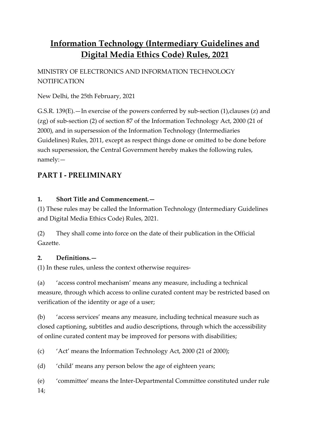# **Information Technology (Intermediary Guidelines and Digital Media Ethics Code) Rules, 2021**

MINISTRY OF ELECTRONICS AND INFORMATION TECHNOLOGY NOTIFICATION

New Delhi, the 25th February, 2021

G.S.R. 139(E).—In exercise of the powers conferred by sub-section (1),clauses (z) and (zg) of sub-section (2) of section 87 of the Information Technology Act, 2000 (21 of 2000), and in supersession of the Information Technology (Intermediaries Guidelines) Rules, 2011, except as respect things done or omitted to be done before such supersession, the Central Government hereby makes the following rules, namely:—

# **PART I - PRELIMINARY**

#### **1. Short Title and Commencement.—**

(1) These rules may be called the Information Technology (Intermediary Guidelines and Digital Media Ethics Code) Rules, 2021.

(2) They shall come into force on the date of their publication in the Official Gazette.

#### **2. Definitions.—**

(1) In these rules, unless the context otherwise requires-

(a) 'access control mechanism' means any measure, including a technical measure, through which access to online curated content may be restricted based on verification of the identity or age of a user;

(b) 'access services' means any measure, including technical measure such as closed captioning, subtitles and audio descriptions, through which the accessibility of online curated content may be improved for persons with disabilities;

(c) 'Act' means the Information Technology Act, 2000 (21 of 2000);

(d) 'child' means any person below the age of eighteen years;

(e) 'committee' means the Inter-Departmental Committee constituted under rule 14;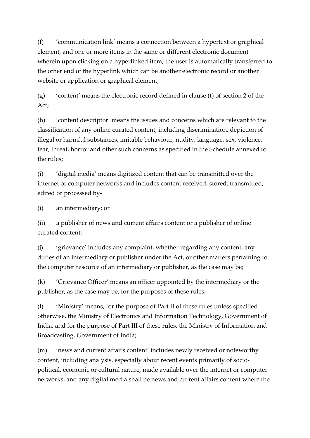(f) 'communication link' means a connection between a hypertext or graphical element, and one or more items in the same or different electronic document wherein upon clicking on a hyperlinked item, the user is automatically transferred to the other end of the hyperlink which can be another electronic record or another website or application or graphical element;

(g) 'content' means the electronic record defined in clause (t) of section 2 of the Act;

(h) 'content descriptor' means the issues and concerns which are relevant to the classification of any online curated content, including discrimination, depiction of illegal or harmful substances, imitable behaviour, nudity, language, sex, violence, fear, threat, horror and other such concerns as specified in the Schedule annexed to the rules;

(i) 'digital media' means digitized content that can be transmitted over the internet or computer networks and includes content received, stored, transmitted, edited or processed by-

(i) an intermediary; or

(ii) a publisher of news and current affairs content or a publisher of online curated content;

(j) 'grievance' includes any complaint, whether regarding any content, any duties of an intermediary or publisher under the Act, or other matters pertaining to the computer resource of an intermediary or publisher, as the case may be;

(k) 'Grievance Officer' means an officer appointed by the intermediary or the publisher, as the case may be, for the purposes of these rules;

(l) 'Ministry' means, for the purpose of Part II of these rules unless specified otherwise, the Ministry of Electronics and Information Technology, Government of India, and for the purpose of Part III of these rules, the Ministry of Information and Broadcasting, Government of India;

(m) 'news and current affairs content' includes newly received or noteworthy content, including analysis, especially about recent events primarily of sociopolitical, economic or cultural nature, made available over the internet or computer networks, and any digital media shall be news and current affairs content where the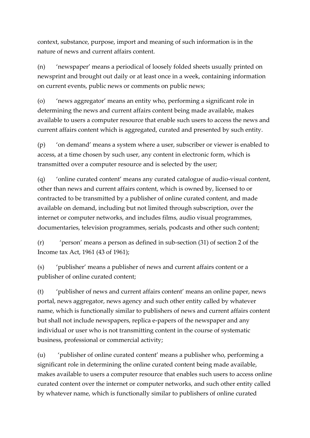context, substance, purpose, import and meaning of such information is in the nature of news and current affairs content.

(n) 'newspaper' means a periodical of loosely folded sheets usually printed on newsprint and brought out daily or at least once in a week, containing information on current events, public news or comments on public news;

(o) 'news aggregator' means an entity who, performing a significant role in determining the news and current affairs content being made available, makes available to users a computer resource that enable such users to access the news and current affairs content which is aggregated, curated and presented by such entity.

(p) 'on demand' means a system where a user, subscriber or viewer is enabled to access, at a time chosen by such user, any content in electronic form, which is transmitted over a computer resource and is selected by the user;

(q) 'online curated content' means any curated catalogue of audio-visual content, other than news and current affairs content, which is owned by, licensed to or contracted to be transmitted by a publisher of online curated content, and made available on demand, including but not limited through subscription, over the internet or computer networks, and includes films, audio visual programmes, documentaries, television programmes, serials, podcasts and other such content;

(r) 'person' means a person as defined in sub-section (31) of section 2 of the Income tax Act, 1961 (43 of 1961);

(s) 'publisher' means a publisher of news and current affairs content or a publisher of online curated content;

(t) 'publisher of news and current affairs content' means an online paper, news portal, news aggregator, news agency and such other entity called by whatever name, which is functionally similar to publishers of news and current affairs content but shall not include newspapers, replica e-papers of the newspaper and any individual or user who is not transmitting content in the course of systematic business, professional or commercial activity;

(u) 'publisher of online curated content' means a publisher who, performing a significant role in determining the online curated content being made available, makes available to users a computer resource that enables such users to access online curated content over the internet or computer networks, and such other entity called by whatever name, which is functionally similar to publishers of online curated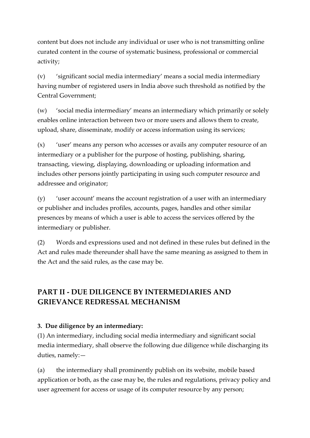content but does not include any individual or user who is not transmitting online curated content in the course of systematic business, professional or commercial activity;

(v) 'significant social media intermediary' means a social media intermediary having number of registered users in India above such threshold as notified by the Central Government;

(w) 'social media intermediary' means an intermediary which primarily or solely enables online interaction between two or more users and allows them to create, upload, share, disseminate, modify or access information using its services;

(x) 'user' means any person who accesses or avails any computer resource of an intermediary or a publisher for the purpose of hosting, publishing, sharing, transacting, viewing, displaying, downloading or uploading information and includes other persons jointly participating in using such computer resource and addressee and originator;

(y) 'user account' means the account registration of a user with an intermediary or publisher and includes profiles, accounts, pages, handles and other similar presences by means of which a user is able to access the services offered by the intermediary or publisher.

(2) Words and expressions used and not defined in these rules but defined in the Act and rules made thereunder shall have the same meaning as assigned to them in the Act and the said rules, as the case may be.

# **PART II - DUE DILIGENCE BY INTERMEDIARIES AND GRIEVANCE REDRESSAL MECHANISM**

## **3. Due diligence by an intermediary:**

(1) An intermediary, including social media intermediary and significant social media intermediary, shall observe the following due diligence while discharging its duties, namely:—

(a) the intermediary shall prominently publish on its website, mobile based application or both, as the case may be, the rules and regulations, privacy policy and user agreement for access or usage of its computer resource by any person;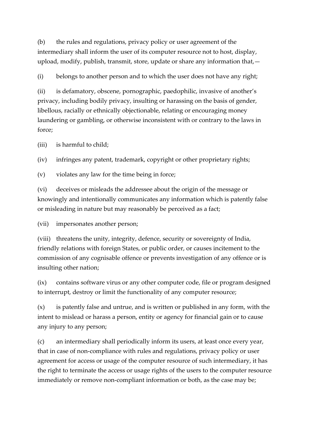(b) the rules and regulations, privacy policy or user agreement of the intermediary shall inform the user of its computer resource not to host, display, upload, modify, publish, transmit, store, update or share any information that,—

(i) belongs to another person and to which the user does not have any right;

(ii) is defamatory, obscene, pornographic, paedophilic, invasive of another's privacy, including bodily privacy, insulting or harassing on the basis of gender, libellous, racially or ethnically objectionable, relating or encouraging money laundering or gambling, or otherwise inconsistent with or contrary to the laws in force;

(iii) is harmful to child;

(iv) infringes any patent, trademark, copyright or other proprietary rights;

(v) violates any law for the time being in force;

(vi) deceives or misleads the addressee about the origin of the message or knowingly and intentionally communicates any information which is patently false or misleading in nature but may reasonably be perceived as a fact;

(vii) impersonates another person;

(viii) threatens the unity, integrity, defence, security or sovereignty of India, friendly relations with foreign States, or public order, or causes incitement to the commission of any cognisable offence or prevents investigation of any offence or is insulting other nation;

(ix) contains software virus or any other computer code, file or program designed to interrupt, destroy or limit the functionality of any computer resource;

(x) is patently false and untrue, and is written or published in any form, with the intent to mislead or harass a person, entity or agency for financial gain or to cause any injury to any person;

(c) an intermediary shall periodically inform its users, at least once every year, that in case of non-compliance with rules and regulations, privacy policy or user agreement for access or usage of the computer resource of such intermediary, it has the right to terminate the access or usage rights of the users to the computer resource immediately or remove non-compliant information or both, as the case may be;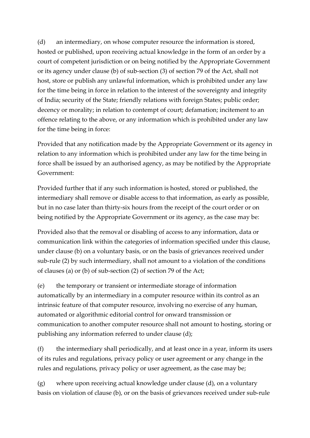(d) an intermediary, on whose computer resource the information is stored, hosted or published, upon receiving actual knowledge in the form of an order by a court of competent jurisdiction or on being notified by the Appropriate Government or its agency under clause (b) of sub-section (3) of section 79 of the Act, shall not host, store or publish any unlawful information, which is prohibited under any law for the time being in force in relation to the interest of the sovereignty and integrity of India; security of the State; friendly relations with foreign States; public order; decency or morality; in relation to contempt of court; defamation; incitement to an offence relating to the above, or any information which is prohibited under any law for the time being in force:

Provided that any notification made by the Appropriate Government or its agency in relation to any information which is prohibited under any law for the time being in force shall be issued by an authorised agency, as may be notified by the Appropriate Government:

Provided further that if any such information is hosted, stored or published, the intermediary shall remove or disable access to that information, as early as possible, but in no case later than thirty-six hours from the receipt of the court order or on being notified by the Appropriate Government or its agency, as the case may be:

Provided also that the removal or disabling of access to any information, data or communication link within the categories of information specified under this clause, under clause (b) on a voluntary basis, or on the basis of grievances received under sub-rule (2) by such intermediary, shall not amount to a violation of the conditions of clauses (a) or (b) of sub-section (2) of section 79 of the Act;

(e) the temporary or transient or intermediate storage of information automatically by an intermediary in a computer resource within its control as an intrinsic feature of that computer resource, involving no exercise of any human, automated or algorithmic editorial control for onward transmission or communication to another computer resource shall not amount to hosting, storing or publishing any information referred to under clause (d);

(f) the intermediary shall periodically, and at least once in a year, inform its users of its rules and regulations, privacy policy or user agreement or any change in the rules and regulations, privacy policy or user agreement, as the case may be;

(g) where upon receiving actual knowledge under clause (d), on a voluntary basis on violation of clause (b), or on the basis of grievances received under sub-rule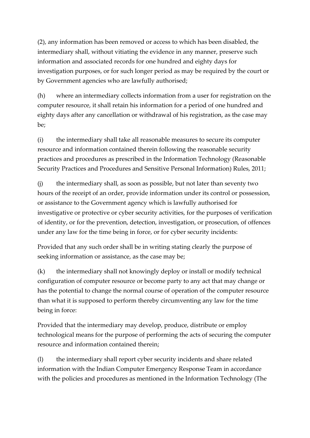(2), any information has been removed or access to which has been disabled, the intermediary shall, without vitiating the evidence in any manner, preserve such information and associated records for one hundred and eighty days for investigation purposes, or for such longer period as may be required by the court or by Government agencies who are lawfully authorised;

(h) where an intermediary collects information from a user for registration on the computer resource, it shall retain his information for a period of one hundred and eighty days after any cancellation or withdrawal of his registration, as the case may be;

(i) the intermediary shall take all reasonable measures to secure its computer resource and information contained therein following the reasonable security practices and procedures as prescribed in the Information Technology (Reasonable Security Practices and Procedures and Sensitive Personal Information) Rules, 2011;

(j) the intermediary shall, as soon as possible, but not later than seventy two hours of the receipt of an order, provide information under its control or possession, or assistance to the Government agency which is lawfully authorised for investigative or protective or cyber security activities, for the purposes of verification of identity, or for the prevention, detection, investigation, or prosecution, of offences under any law for the time being in force, or for cyber security incidents:

Provided that any such order shall be in writing stating clearly the purpose of seeking information or assistance, as the case may be;

(k) the intermediary shall not knowingly deploy or install or modify technical configuration of computer resource or become party to any act that may change or has the potential to change the normal course of operation of the computer resource than what it is supposed to perform thereby circumventing any law for the time being in force:

Provided that the intermediary may develop, produce, distribute or employ technological means for the purpose of performing the acts of securing the computer resource and information contained therein;

(l) the intermediary shall report cyber security incidents and share related information with the Indian Computer Emergency Response Team in accordance with the policies and procedures as mentioned in the Information Technology (The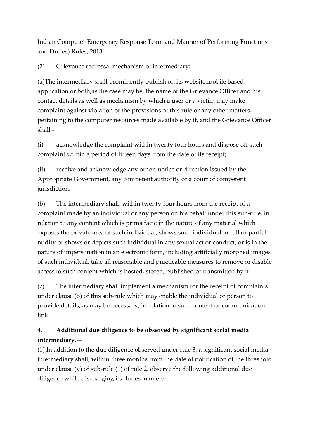Indian Computer Emergency Response Team and Manner of Performing Functions and Duties) Rules, 2013.

(2) Grievance redressal mechanism of intermediary:

(a)The intermediary shall prominently publish on its website,mobile based application or both,as the case may be, the name of the Grievance Officer and his contact details as well as mechanism by which a user or a victim may make complaint against violation of the provisions of this rule or any other matters pertaining to the computer resources made available by it, and the Grievance Officer shall -

(i) acknowledge the complaint within twenty four hours and dispose off such complaint within a period of fifteen days from the date of its receipt;

(ii) receive and acknowledge any order, notice or direction issued by the Appropriate Government, any competent authority or a court of competent jurisdiction.

(b) The intermediary shall, within twenty-four hours from the receipt of a complaint made by an individual or any person on his behalf under this sub-rule, in relation to any content which is prima facie in the nature of any material which exposes the private area of such individual, shows such individual in full or partial nudity or shows or depicts such individual in any sexual act or conduct, or is in the nature of impersonation in an electronic form, including artificially morphed images of such individual, take all reasonable and practicable measures to remove or disable access to such content which is hosted, stored, published or transmitted by it:

(c) The intermediary shall implement a mechanism for the receipt of complaints under clause (b) of this sub-rule which may enable the individual or person to provide details, as may be necessary, in relation to such content or communication link.

# **4. Additional due diligence to be observed by significant social media intermediary.—**

(1) In addition to the due diligence observed under rule 3, a significant social media intermediary shall, within three months from the date of notification of the threshold under clause (v) of sub-rule (1) of rule 2, observe the following additional due diligence while discharging its duties, namely:—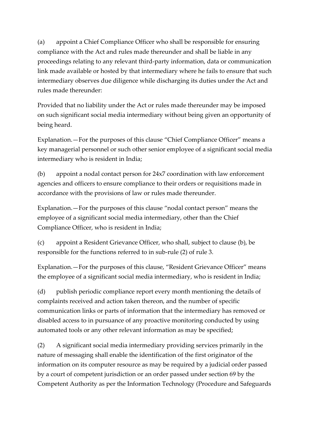(a) appoint a Chief Compliance Officer who shall be responsible for ensuring compliance with the Act and rules made thereunder and shall be liable in any proceedings relating to any relevant third-party information, data or communication link made available or hosted by that intermediary where he fails to ensure that such intermediary observes due diligence while discharging its duties under the Act and rules made thereunder:

Provided that no liability under the Act or rules made thereunder may be imposed on such significant social media intermediary without being given an opportunity of being heard.

Explanation.—For the purposes of this clause "Chief Compliance Officer" means a key managerial personnel or such other senior employee of a significant social media intermediary who is resident in India;

(b) appoint a nodal contact person for 24x7 coordination with law enforcement agencies and officers to ensure compliance to their orders or requisitions made in accordance with the provisions of law or rules made thereunder.

Explanation.—For the purposes of this clause "nodal contact person" means the employee of a significant social media intermediary, other than the Chief Compliance Officer, who is resident in India;

(c) appoint a Resident Grievance Officer, who shall, subject to clause (b), be responsible for the functions referred to in sub-rule (2) of rule 3.

Explanation.—For the purposes of this clause, "Resident Grievance Officer" means the employee of a significant social media intermediary, who is resident in India;

(d) publish periodic compliance report every month mentioning the details of complaints received and action taken thereon, and the number of specific communication links or parts of information that the intermediary has removed or disabled access to in pursuance of any proactive monitoring conducted by using automated tools or any other relevant information as may be specified;

(2) A significant social media intermediary providing services primarily in the nature of messaging shall enable the identification of the first originator of the information on its computer resource as may be required by a judicial order passed by a court of competent jurisdiction or an order passed under section 69 by the Competent Authority as per the Information Technology (Procedure and Safeguards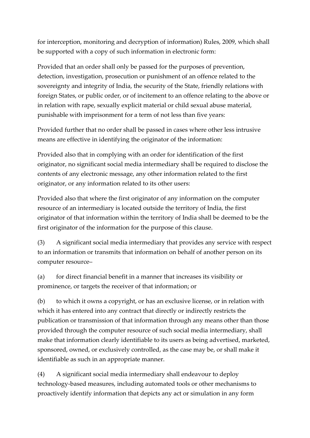for interception, monitoring and decryption of information) Rules, 2009, which shall be supported with a copy of such information in electronic form:

Provided that an order shall only be passed for the purposes of prevention, detection, investigation, prosecution or punishment of an offence related to the sovereignty and integrity of India, the security of the State, friendly relations with foreign States, or public order, or of incitement to an offence relating to the above or in relation with rape, sexually explicit material or child sexual abuse material, punishable with imprisonment for a term of not less than five years:

Provided further that no order shall be passed in cases where other less intrusive means are effective in identifying the originator of the information:

Provided also that in complying with an order for identification of the first originator, no significant social media intermediary shall be required to disclose the contents of any electronic message, any other information related to the first originator, or any information related to its other users:

Provided also that where the first originator of any information on the computer resource of an intermediary is located outside the territory of India, the first originator of that information within the territory of India shall be deemed to be the first originator of the information for the purpose of this clause.

(3) A significant social media intermediary that provides any service with respect to an information or transmits that information on behalf of another person on its computer resource–

(a) for direct financial benefit in a manner that increases its visibility or prominence, or targets the receiver of that information; or

(b) to which it owns a copyright, or has an exclusive license, or in relation with which it has entered into any contract that directly or indirectly restricts the publication or transmission of that information through any means other than those provided through the computer resource of such social media intermediary, shall make that information clearly identifiable to its users as being advertised, marketed, sponsored, owned, or exclusively controlled, as the case may be, or shall make it identifiable as such in an appropriate manner.

(4) A significant social media intermediary shall endeavour to deploy technology-based measures, including automated tools or other mechanisms to proactively identify information that depicts any act or simulation in any form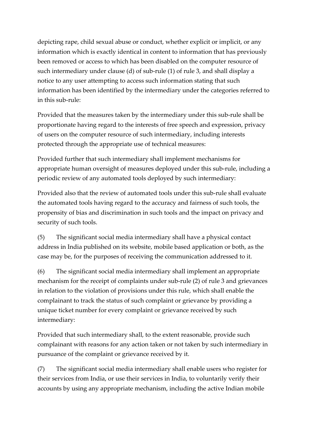depicting rape, child sexual abuse or conduct, whether explicit or implicit, or any information which is exactly identical in content to information that has previously been removed or access to which has been disabled on the computer resource of such intermediary under clause (d) of sub-rule (1) of rule 3, and shall display a notice to any user attempting to access such information stating that such information has been identified by the intermediary under the categories referred to in this sub-rule:

Provided that the measures taken by the intermediary under this sub-rule shall be proportionate having regard to the interests of free speech and expression, privacy of users on the computer resource of such intermediary, including interests protected through the appropriate use of technical measures:

Provided further that such intermediary shall implement mechanisms for appropriate human oversight of measures deployed under this sub-rule, including a periodic review of any automated tools deployed by such intermediary:

Provided also that the review of automated tools under this sub-rule shall evaluate the automated tools having regard to the accuracy and fairness of such tools, the propensity of bias and discrimination in such tools and the impact on privacy and security of such tools.

(5) The significant social media intermediary shall have a physical contact address in India published on its website, mobile based application or both, as the case may be, for the purposes of receiving the communication addressed to it.

(6) The significant social media intermediary shall implement an appropriate mechanism for the receipt of complaints under sub-rule (2) of rule 3 and grievances in relation to the violation of provisions under this rule, which shall enable the complainant to track the status of such complaint or grievance by providing a unique ticket number for every complaint or grievance received by such intermediary:

Provided that such intermediary shall, to the extent reasonable, provide such complainant with reasons for any action taken or not taken by such intermediary in pursuance of the complaint or grievance received by it.

(7) The significant social media intermediary shall enable users who register for their services from India, or use their services in India, to voluntarily verify their accounts by using any appropriate mechanism, including the active Indian mobile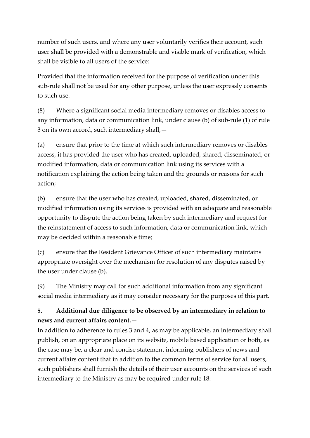number of such users, and where any user voluntarily verifies their account, such user shall be provided with a demonstrable and visible mark of verification, which shall be visible to all users of the service:

Provided that the information received for the purpose of verification under this sub-rule shall not be used for any other purpose, unless the user expressly consents to such use.

(8) Where a significant social media intermediary removes or disables access to any information, data or communication link, under clause (b) of sub-rule (1) of rule 3 on its own accord, such intermediary shall,—

(a) ensure that prior to the time at which such intermediary removes or disables access, it has provided the user who has created, uploaded, shared, disseminated, or modified information, data or communication link using its services with a notification explaining the action being taken and the grounds or reasons for such action;

(b) ensure that the user who has created, uploaded, shared, disseminated, or modified information using its services is provided with an adequate and reasonable opportunity to dispute the action being taken by such intermediary and request for the reinstatement of access to such information, data or communication link, which may be decided within a reasonable time;

(c) ensure that the Resident Grievance Officer of such intermediary maintains appropriate oversight over the mechanism for resolution of any disputes raised by the user under clause (b).

(9) The Ministry may call for such additional information from any significant social media intermediary as it may consider necessary for the purposes of this part.

# **5. Additional due diligence to be observed by an intermediary in relation to news and current affairs content.—**

In addition to adherence to rules 3 and 4, as may be applicable, an intermediary shall publish, on an appropriate place on its website, mobile based application or both, as the case may be, a clear and concise statement informing publishers of news and current affairs content that in addition to the common terms of service for all users, such publishers shall furnish the details of their user accounts on the services of such intermediary to the Ministry as may be required under rule 18: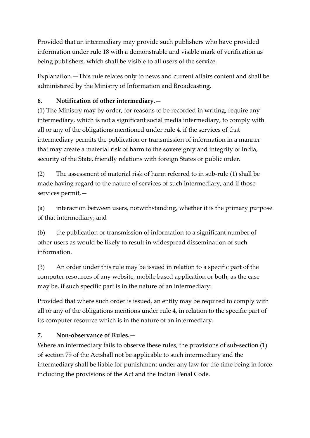Provided that an intermediary may provide such publishers who have provided information under rule 18 with a demonstrable and visible mark of verification as being publishers, which shall be visible to all users of the service.

Explanation.—This rule relates only to news and current affairs content and shall be administered by the Ministry of Information and Broadcasting.

### **6. Notification of other intermediary.—**

(1) The Ministry may by order, for reasons to be recorded in writing, require any intermediary, which is not a significant social media intermediary, to comply with all or any of the obligations mentioned under rule 4, if the services of that intermediary permits the publication or transmission of information in a manner that may create a material risk of harm to the sovereignty and integrity of India, security of the State, friendly relations with foreign States or public order.

(2) The assessment of material risk of harm referred to in sub-rule (1) shall be made having regard to the nature of services of such intermediary, and if those services permit,—

(a) interaction between users, notwithstanding, whether it is the primary purpose of that intermediary; and

(b) the publication or transmission of information to a significant number of other users as would be likely to result in widespread dissemination of such information.

(3) An order under this rule may be issued in relation to a specific part of the computer resources of any website, mobile based application or both, as the case may be, if such specific part is in the nature of an intermediary:

Provided that where such order is issued, an entity may be required to comply with all or any of the obligations mentions under rule 4, in relation to the specific part of its computer resource which is in the nature of an intermediary.

#### **7. Non-observance of Rules.—**

Where an intermediary fails to observe these rules, the provisions of sub-section (1) of section 79 of the Actshall not be applicable to such intermediary and the intermediary shall be liable for punishment under any law for the time being in force including the provisions of the Act and the Indian Penal Code.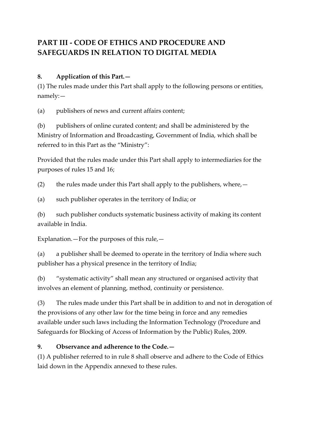# **PART III - CODE OF ETHICS AND PROCEDURE AND SAFEGUARDS IN RELATION TO DIGITAL MEDIA**

### **8. Application of this Part.—**

(1) The rules made under this Part shall apply to the following persons or entities, namely:—

(a) publishers of news and current affairs content;

(b) publishers of online curated content; and shall be administered by the Ministry of Information and Broadcasting, Government of India, which shall be referred to in this Part as the "Ministry":

Provided that the rules made under this Part shall apply to intermediaries for the purposes of rules 15 and 16;

(2) the rules made under this Part shall apply to the publishers, where,  $-$ 

(a) such publisher operates in the territory of India; or

(b) such publisher conducts systematic business activity of making its content available in India.

Explanation.—For the purposes of this rule,—

(a) a publisher shall be deemed to operate in the territory of India where such publisher has a physical presence in the territory of India;

(b) "systematic activity" shall mean any structured or organised activity that involves an element of planning, method, continuity or persistence.

(3) The rules made under this Part shall be in addition to and not in derogation of the provisions of any other law for the time being in force and any remedies available under such laws including the Information Technology (Procedure and Safeguards for Blocking of Access of Information by the Public) Rules, 2009.

## **9. Observance and adherence to the Code.—**

(1) A publisher referred to in rule 8 shall observe and adhere to the Code of Ethics laid down in the Appendix annexed to these rules.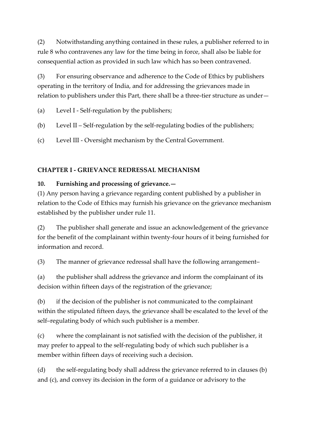(2) Notwithstanding anything contained in these rules, a publisher referred to in rule 8 who contravenes any law for the time being in force, shall also be liable for consequential action as provided in such law which has so been contravened.

(3) For ensuring observance and adherence to the Code of Ethics by publishers operating in the territory of India, and for addressing the grievances made in relation to publishers under this Part, there shall be a three-tier structure as under—

(a) Level I - Self-regulation by the publishers;

- (b) Level II Self-regulation by the self-regulating bodies of the publishers;
- (c) Level III Oversight mechanism by the Central Government.

#### **CHAPTER I - GRIEVANCE REDRESSAL MECHANISM**

#### **10. Furnishing and processing of grievance.—**

(1) Any person having a grievance regarding content published by a publisher in relation to the Code of Ethics may furnish his grievance on the grievance mechanism established by the publisher under rule 11.

(2) The publisher shall generate and issue an acknowledgement of the grievance for the benefit of the complainant within twenty-four hours of it being furnished for information and record.

(3) The manner of grievance redressal shall have the following arrangement–

(a) the publisher shall address the grievance and inform the complainant of its decision within fifteen days of the registration of the grievance;

(b) if the decision of the publisher is not communicated to the complainant within the stipulated fifteen days, the grievance shall be escalated to the level of the self–regulating body of which such publisher is a member.

(c) where the complainant is not satisfied with the decision of the publisher, it may prefer to appeal to the self-regulating body of which such publisher is a member within fifteen days of receiving such a decision.

(d) the self-regulating body shall address the grievance referred to in clauses (b) and (c), and convey its decision in the form of a guidance or advisory to the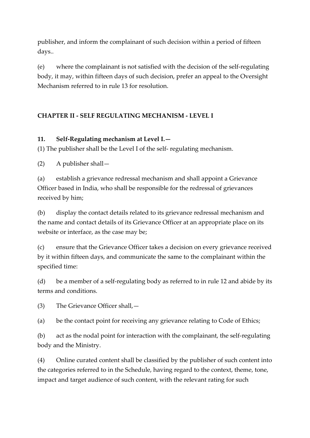publisher, and inform the complainant of such decision within a period of fifteen days..

(e) where the complainant is not satisfied with the decision of the self-regulating body, it may, within fifteen days of such decision, prefer an appeal to the Oversight Mechanism referred to in rule 13 for resolution.

#### **CHAPTER II - SELF REGULATING MECHANISM - LEVEL I**

#### **11. Self-Regulating mechanism at Level I.—**

(1) The publisher shall be the Level I of the self- regulating mechanism.

(2) A publisher shall—

(a) establish a grievance redressal mechanism and shall appoint a Grievance Officer based in India, who shall be responsible for the redressal of grievances received by him;

(b) display the contact details related to its grievance redressal mechanism and the name and contact details of its Grievance Officer at an appropriate place on its website or interface, as the case may be;

(c) ensure that the Grievance Officer takes a decision on every grievance received by it within fifteen days, and communicate the same to the complainant within the specified time:

(d) be a member of a self-regulating body as referred to in rule 12 and abide by its terms and conditions.

(3) The Grievance Officer shall,—

(a) be the contact point for receiving any grievance relating to Code of Ethics;

(b) act as the nodal point for interaction with the complainant, the self-regulating body and the Ministry.

(4) Online curated content shall be classified by the publisher of such content into the categories referred to in the Schedule, having regard to the context, theme, tone, impact and target audience of such content, with the relevant rating for such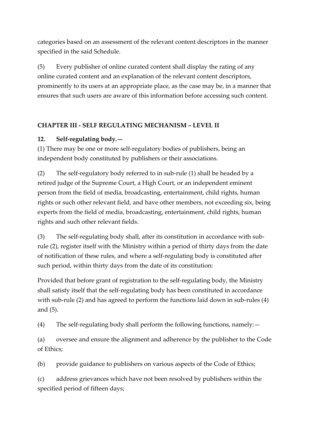categories based on an assessment of the relevant content descriptors in the manner specified in the said Schedule.

(5) Every publisher of online curated content shall display the rating of any online curated content and an explanation of the relevant content descriptors, prominently to its users at an appropriate place, as the case may be, in a manner that ensures that such users are aware of this information before accessing such content.

#### **CHAPTER III - SELF REGULATING MECHANISM – LEVEL II**

#### **12. Self-regulating body.—**

(1) There may be one or more self-regulatory bodies of publishers, being an independent body constituted by publishers or their associations.

(2) The self-regulatory body referred to in sub-rule (1) shall be headed by a retired judge of the Supreme Court, a High Court, or an independent eminent person from the field of media, broadcasting, entertainment, child rights, human rights or such other relevant field, and have other members, not exceeding six, being experts from the field of media, broadcasting, entertainment, child rights, human rights and such other relevant fields.

(3) The self-regulating body shall, after its constitution in accordance with subrule (2), register itself with the Ministry within a period of thirty days from the date of notification of these rules, and where a self-regulating body is constituted after such period, within thirty days from the date of its constitution:

Provided that before grant of registration to the self-regulating body, the Ministry shall satisfy itself that the self-regulating body has been constituted in accordance with sub-rule (2) and has agreed to perform the functions laid down in sub-rules (4) and (5).

(4) The self-regulating body shall perform the following functions, namely:—

(a) oversee and ensure the alignment and adherence by the publisher to the Code of Ethics;

(b) provide guidance to publishers on various aspects of the Code of Ethics;

(c) address grievances which have not been resolved by publishers within the specified period of fifteen days;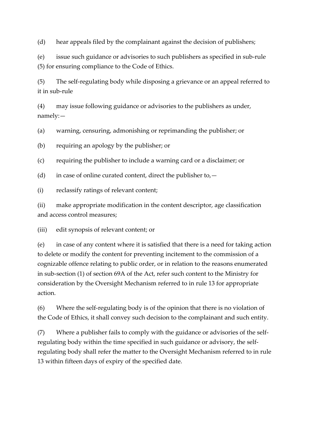(d) hear appeals filed by the complainant against the decision of publishers;

(e) issue such guidance or advisories to such publishers as specified in sub-rule (5) for ensuring compliance to the Code of Ethics.

(5) The self-regulating body while disposing a grievance or an appeal referred to it in sub-rule

(4) may issue following guidance or advisories to the publishers as under, namely:—

(a) warning, censuring, admonishing or reprimanding the publisher; or

(b) requiring an apology by the publisher; or

(c) requiring the publisher to include a warning card or a disclaimer; or

(d) in case of online curated content, direct the publisher to,  $-$ 

(i) reclassify ratings of relevant content;

(ii) make appropriate modification in the content descriptor, age classification and access control measures;

(iii) edit synopsis of relevant content; or

(e) in case of any content where it is satisfied that there is a need for taking action to delete or modify the content for preventing incitement to the commission of a cognizable offence relating to public order, or in relation to the reasons enumerated in sub-section (1) of section 69A of the Act, refer such content to the Ministry for consideration by the Oversight Mechanism referred to in rule 13 for appropriate action.

(6) Where the self-regulating body is of the opinion that there is no violation of the Code of Ethics, it shall convey such decision to the complainant and such entity.

(7) Where a publisher fails to comply with the guidance or advisories of the selfregulating body within the time specified in such guidance or advisory, the selfregulating body shall refer the matter to the Oversight Mechanism referred to in rule 13 within fifteen days of expiry of the specified date.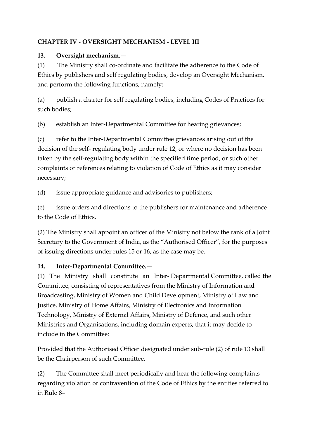#### **CHAPTER IV - OVERSIGHT MECHANISM - LEVEL III**

#### **13. Oversight mechanism.—**

(1) The Ministry shall co-ordinate and facilitate the adherence to the Code of Ethics by publishers and self regulating bodies, develop an Oversight Mechanism, and perform the following functions, namely:—

(a) publish a charter for self regulating bodies, including Codes of Practices for such bodies;

(b) establish an Inter-Departmental Committee for hearing grievances;

(c) refer to the Inter-Departmental Committee grievances arising out of the decision of the self- regulating body under rule 12, or where no decision has been taken by the self-regulating body within the specified time period, or such other complaints or references relating to violation of Code of Ethics as it may consider necessary;

(d) issue appropriate guidance and advisories to publishers;

(e) issue orders and directions to the publishers for maintenance and adherence to the Code of Ethics.

(2) The Ministry shall appoint an officer of the Ministry not below the rank of a Joint Secretary to the Government of India, as the "Authorised Officer", for the purposes of issuing directions under rules 15 or 16, as the case may be.

## **14. Inter-Departmental Committee.—**

(1) The Ministry shall constitute an Inter- Departmental Committee, called the Committee, consisting of representatives from the Ministry of Information and Broadcasting, Ministry of Women and Child Development, Ministry of Law and Justice, Ministry of Home Affairs, Ministry of Electronics and Information Technology, Ministry of External Affairs, Ministry of Defence, and such other Ministries and Organisations, including domain experts, that it may decide to include in the Committee:

Provided that the Authorised Officer designated under sub-rule (2) of rule 13 shall be the Chairperson of such Committee.

(2) The Committee shall meet periodically and hear the following complaints regarding violation or contravention of the Code of Ethics by the entities referred to in Rule 8–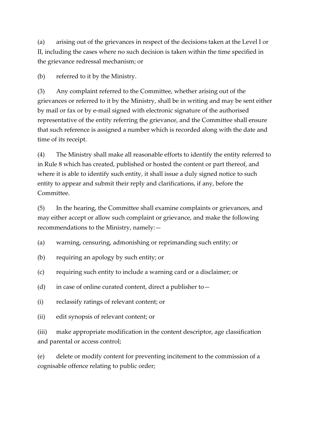(a) arising out of the grievances in respect of the decisions taken at the Level I or II, including the cases where no such decision is taken within the time specified in the grievance redressal mechanism; or

(b) referred to it by the Ministry.

(3) Any complaint referred to the Committee, whether arising out of the grievances or referred to it by the Ministry, shall be in writing and may be sent either by mail or fax or by e-mail signed with electronic signature of the authorised representative of the entity referring the grievance, and the Committee shall ensure that such reference is assigned a number which is recorded along with the date and time of its receipt.

(4) The Ministry shall make all reasonable efforts to identify the entity referred to in Rule 8 which has created, published or hosted the content or part thereof, and where it is able to identify such entity, it shall issue a duly signed notice to such entity to appear and submit their reply and clarifications, if any, before the Committee.

(5) In the hearing, the Committee shall examine complaints or grievances, and may either accept or allow such complaint or grievance, and make the following recommendations to the Ministry, namely:—

(a) warning, censuring, admonishing or reprimanding such entity; or

(b) requiring an apology by such entity; or

(c) requiring such entity to include a warning card or a disclaimer; or

(d) in case of online curated content, direct a publisher to—

(i) reclassify ratings of relevant content; or

(ii) edit synopsis of relevant content; or

(iii) make appropriate modification in the content descriptor, age classification and parental or access control;

(e) delete or modify content for preventing incitement to the commission of a cognisable offence relating to public order;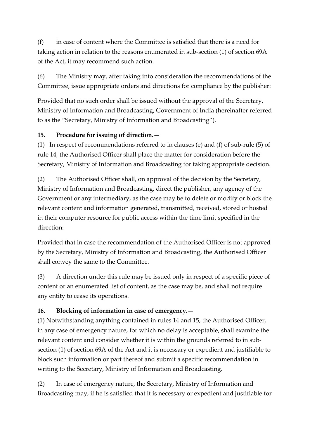(f) in case of content where the Committee is satisfied that there is a need for taking action in relation to the reasons enumerated in sub-section (1) of section 69A of the Act, it may recommend such action.

(6) The Ministry may, after taking into consideration the recommendations of the Committee, issue appropriate orders and directions for compliance by the publisher:

Provided that no such order shall be issued without the approval of the Secretary, Ministry of Information and Broadcasting, Government of India (hereinafter referred to as the "Secretary, Ministry of Information and Broadcasting").

#### **15. Procedure for issuing of direction.—**

(1) In respect of recommendations referred to in clauses (e) and (f) of sub-rule (5) of rule 14, the Authorised Officer shall place the matter for consideration before the Secretary, Ministry of Information and Broadcasting for taking appropriate decision.

(2) The Authorised Officer shall, on approval of the decision by the Secretary, Ministry of Information and Broadcasting, direct the publisher, any agency of the Government or any intermediary, as the case may be to delete or modify or block the relevant content and information generated, transmitted, received, stored or hosted in their computer resource for public access within the time limit specified in the direction:

Provided that in case the recommendation of the Authorised Officer is not approved by the Secretary, Ministry of Information and Broadcasting, the Authorised Officer shall convey the same to the Committee.

(3) A direction under this rule may be issued only in respect of a specific piece of content or an enumerated list of content, as the case may be, and shall not require any entity to cease its operations.

## **16. Blocking of information in case of emergency.—**

(1) Notwithstanding anything contained in rules 14 and 15, the Authorised Officer, in any case of emergency nature, for which no delay is acceptable, shall examine the relevant content and consider whether it is within the grounds referred to in subsection (1) of section 69A of the Act and it is necessary or expedient and justifiable to block such information or part thereof and submit a specific recommendation in writing to the Secretary, Ministry of Information and Broadcasting.

(2) In case of emergency nature, the Secretary, Ministry of Information and Broadcasting may, if he is satisfied that it is necessary or expedient and justifiable for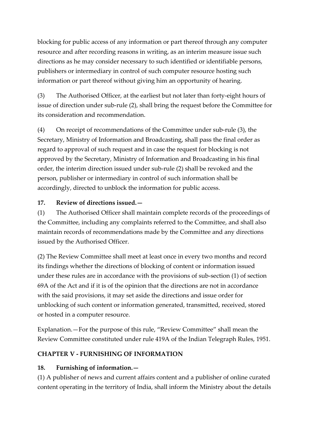blocking for public access of any information or part thereof through any computer resource and after recording reasons in writing, as an interim measure issue such directions as he may consider necessary to such identified or identifiable persons, publishers or intermediary in control of such computer resource hosting such information or part thereof without giving him an opportunity of hearing.

(3) The Authorised Officer, at the earliest but not later than forty-eight hours of issue of direction under sub-rule (2), shall bring the request before the Committee for its consideration and recommendation.

(4) On receipt of recommendations of the Committee under sub-rule (3), the Secretary, Ministry of Information and Broadcasting, shall pass the final order as regard to approval of such request and in case the request for blocking is not approved by the Secretary, Ministry of Information and Broadcasting in his final order, the interim direction issued under sub-rule (2) shall be revoked and the person, publisher or intermediary in control of such information shall be accordingly, directed to unblock the information for public access.

#### **17. Review of directions issued.—**

(1) The Authorised Officer shall maintain complete records of the proceedings of the Committee, including any complaints referred to the Committee, and shall also maintain records of recommendations made by the Committee and any directions issued by the Authorised Officer.

(2) The Review Committee shall meet at least once in every two months and record its findings whether the directions of blocking of content or information issued under these rules are in accordance with the provisions of sub-section (1) of section 69A of the Act and if it is of the opinion that the directions are not in accordance with the said provisions, it may set aside the directions and issue order for unblocking of such content or information generated, transmitted, received, stored or hosted in a computer resource.

Explanation.—For the purpose of this rule, "Review Committee" shall mean the Review Committee constituted under rule 419A of the Indian Telegraph Rules, 1951.

#### **CHAPTER V - FURNISHING OF INFORMATION**

## **18. Furnishing of information.—**

(1) A publisher of news and current affairs content and a publisher of online curated content operating in the territory of India, shall inform the Ministry about the details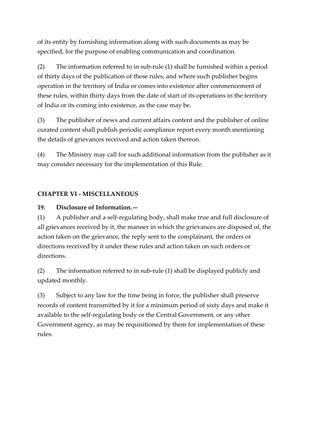of its entity by furnishing information along with such documents as may be specified, for the purpose of enabling communication and coordination.

(2) The information referred to in sub-rule (1) shall be furnished within a period of thirty days of the publication of these rules, and where such publisher begins operation in the territory of India or comes into existence after commencement of these rules, within thirty days from the date of start of its operations in the territory of India or its coming into existence, as the case may be.

(3) The publisher of news and current affairs content and the publisher of online curated content shall publish periodic compliance report every month mentioning the details of grievances received and action taken thereon.

(4) The Ministry may call for such additional information from the publisher as it may consider necessary for the implementation of this Rule.

#### **CHAPTER VI - MISCELLANEOUS**

#### **19. Disclosure of Information.—**

(1) A publisher and a self-regulating body, shall make true and full disclosure of all grievances received by it, the manner in which the grievances are disposed of, the action taken on the grievance, the reply sent to the complainant, the orders or directions received by it under these rules and action taken on such orders or directions.

(2) The information referred to in sub-rule (1) shall be displayed publicly and updated monthly.

(3) Subject to any law for the time being in force, the publisher shall preserve records of content transmitted by it for a minimum period of sixty days and make it available to the self-regulating body or the Central Government, or any other Government agency, as may be requisitioned by them for implementation of these rules.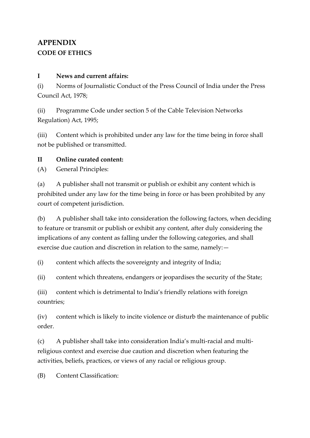# **APPENDIX CODE OF ETHICS**

#### **I News and current affairs:**

(i) Norms of Journalistic Conduct of the Press Council of India under the Press Council Act, 1978;

(ii) Programme Code under section 5 of the Cable Television Networks Regulation) Act, 1995;

(iii) Content which is prohibited under any law for the time being in force shall not be published or transmitted.

#### **II Online curated content:**

(A) General Principles:

(a) A publisher shall not transmit or publish or exhibit any content which is prohibited under any law for the time being in force or has been prohibited by any court of competent jurisdiction.

(b) A publisher shall take into consideration the following factors, when deciding to feature or transmit or publish or exhibit any content, after duly considering the implications of any content as falling under the following categories, and shall exercise due caution and discretion in relation to the same, namely:—

(i) content which affects the sovereignty and integrity of India;

(ii) content which threatens, endangers or jeopardises the security of the State;

(iii) content which is detrimental to India's friendly relations with foreign countries;

(iv) content which is likely to incite violence or disturb the maintenance of public order.

(c) A publisher shall take into consideration India's multi-racial and multireligious context and exercise due caution and discretion when featuring the activities, beliefs, practices, or views of any racial or religious group.

(B) Content Classification: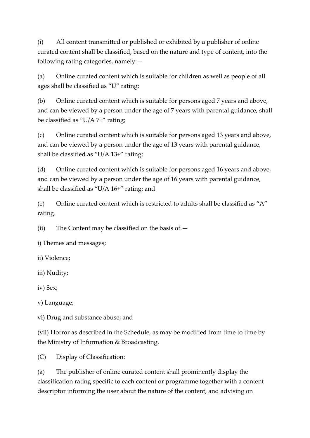(i) All content transmitted or published or exhibited by a publisher of online curated content shall be classified, based on the nature and type of content, into the following rating categories, namely:—

(a) Online curated content which is suitable for children as well as people of all ages shall be classified as "U" rating;

(b) Online curated content which is suitable for persons aged 7 years and above, and can be viewed by a person under the age of 7 years with parental guidance, shall be classified as "U/A 7+" rating;

(c) Online curated content which is suitable for persons aged 13 years and above, and can be viewed by a person under the age of 13 years with parental guidance, shall be classified as "U/A 13+" rating;

(d) Online curated content which is suitable for persons aged 16 years and above, and can be viewed by a person under the age of 16 years with parental guidance, shall be classified as "U/A 16+" rating; and

(e) Online curated content which is restricted to adults shall be classified as "A" rating.

(ii) The Content may be classified on the basis of.—

i) Themes and messages;

ii) Violence;

iii) Nudity;

iv) Sex;

v) Language;

vi) Drug and substance abuse; and

(vii) Horror as described in the Schedule, as may be modified from time to time by the Ministry of Information & Broadcasting.

(C) Display of Classification:

(a) The publisher of online curated content shall prominently display the classification rating specific to each content or programme together with a content descriptor informing the user about the nature of the content, and advising on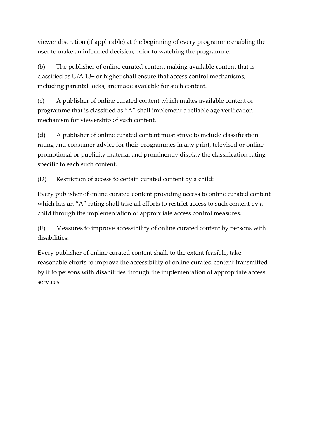viewer discretion (if applicable) at the beginning of every programme enabling the user to make an informed decision, prior to watching the programme.

(b) The publisher of online curated content making available content that is classified as U/A 13+ or higher shall ensure that access control mechanisms, including parental locks, are made available for such content.

(c) A publisher of online curated content which makes available content or programme that is classified as "A" shall implement a reliable age verification mechanism for viewership of such content.

(d) A publisher of online curated content must strive to include classification rating and consumer advice for their programmes in any print, televised or online promotional or publicity material and prominently display the classification rating specific to each such content.

(D) Restriction of access to certain curated content by a child:

Every publisher of online curated content providing access to online curated content which has an "A" rating shall take all efforts to restrict access to such content by a child through the implementation of appropriate access control measures.

(E) Measures to improve accessibility of online curated content by persons with disabilities:

Every publisher of online curated content shall, to the extent feasible, take reasonable efforts to improve the accessibility of online curated content transmitted by it to persons with disabilities through the implementation of appropriate access services.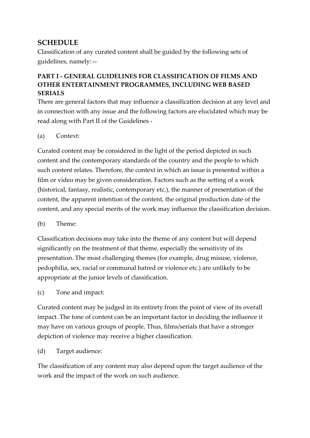## **SCHEDULE**

Classification of any curated content shall be guided by the following sets of guidelines, namely:—

#### **PART I - GENERAL GUIDELINES FOR CLASSIFICATION OF FILMS AND OTHER ENTERTAINMENT PROGRAMMES, INCLUDING WEB BASED SERIALS**

There are general factors that may influence a classification decision at any level and in connection with any issue and the following factors are elucidated which may be read along with Part II of the Guidelines -

#### (a) Context:

Curated content may be considered in the light of the period depicted in such content and the contemporary standards of the country and the people to which such content relates. Therefore, the context in which an issue is presented within a film or video may be given consideration. Factors such as the setting of a work (historical, fantasy, realistic, contemporary etc.), the manner of presentation of the content, the apparent intention of the content, the original production date of the content, and any special merits of the work may influence the classification decision.

#### (b) Theme:

Classification decisions may take into the theme of any content but will depend significantly on the treatment of that theme, especially the sensitivity of its presentation. The most challenging themes (for example, drug misuse, violence, pedophilia, sex, racial or communal hatred or violence etc.) are unlikely to be appropriate at the junior levels of classification.

(c) Tone and impact:

Curated content may be judged in its entirety from the point of view of its overall impact. The tone of content can be an important factor in deciding the influence it may have on various groups of people. Thus, films/serials that have a stronger depiction of violence may receive a higher classification.

(d) Target audience:

The classification of any content may also depend upon the target audience of the work and the impact of the work on such audience.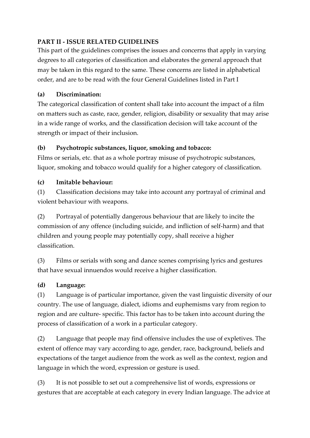#### **PART II - ISSUE RELATED GUIDELINES**

This part of the guidelines comprises the issues and concerns that apply in varying degrees to all categories of classification and elaborates the general approach that may be taken in this regard to the same. These concerns are listed in alphabetical order, and are to be read with the four General Guidelines listed in Part I

#### **(a) Discrimination:**

The categorical classification of content shall take into account the impact of a film on matters such as caste, race, gender, religion, disability or sexuality that may arise in a wide range of works, and the classification decision will take account of the strength or impact of their inclusion.

#### **(b) Psychotropic substances, liquor, smoking and tobacco:**

Films or serials, etc. that as a whole portray misuse of psychotropic substances, liquor, smoking and tobacco would qualify for a higher category of classification.

#### **(c) Imitable behaviour:**

(1) Classification decisions may take into account any portrayal of criminal and violent behaviour with weapons.

(2) Portrayal of potentially dangerous behaviour that are likely to incite the commission of any offence (including suicide, and infliction of self-harm) and that children and young people may potentially copy, shall receive a higher classification.

(3) Films or serials with song and dance scenes comprising lyrics and gestures that have sexual innuendos would receive a higher classification.

#### **(d) Language:**

(1) Language is of particular importance, given the vast linguistic diversity of our country. The use of language, dialect, idioms and euphemisms vary from region to region and are culture- specific. This factor has to be taken into account during the process of classification of a work in a particular category.

(2) Language that people may find offensive includes the use of expletives. The extent of offence may vary according to age, gender, race, background, beliefs and expectations of the target audience from the work as well as the context, region and language in which the word, expression or gesture is used.

(3) It is not possible to set out a comprehensive list of words, expressions or gestures that are acceptable at each category in every Indian language. The advice at